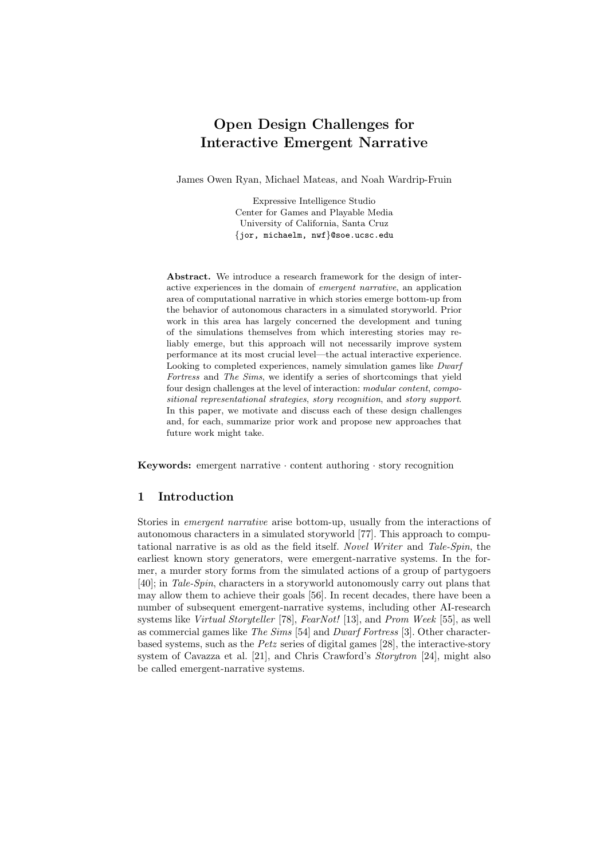# Open Design Challenges for Interactive Emergent Narrative

James Owen Ryan, Michael Mateas, and Noah Wardrip-Fruin

Expressive Intelligence Studio Center for Games and Playable Media University of California, Santa Cruz {jor, michaelm, nwf}@soe.ucsc.edu

Abstract. We introduce a research framework for the design of interactive experiences in the domain of emergent narrative, an application area of computational narrative in which stories emerge bottom-up from the behavior of autonomous characters in a simulated storyworld. Prior work in this area has largely concerned the development and tuning of the simulations themselves from which interesting stories may reliably emerge, but this approach will not necessarily improve system performance at its most crucial level—the actual interactive experience. Looking to completed experiences, namely simulation games like Dwarf Fortress and The Sims, we identify a series of shortcomings that yield four design challenges at the level of interaction: modular content, compositional representational strategies, story recognition, and story support. In this paper, we motivate and discuss each of these design challenges and, for each, summarize prior work and propose new approaches that future work might take.

**Keywords:** emergent narrative  $\cdot$  content authoring  $\cdot$  story recognition

# 1 Introduction

Stories in emergent narrative arise bottom-up, usually from the interactions of autonomous characters in a simulated storyworld [77]. This approach to computational narrative is as old as the field itself. Novel Writer and Tale-Spin, the earliest known story generators, were emergent-narrative systems. In the former, a murder story forms from the simulated actions of a group of partygoers [40]; in Tale-Spin, characters in a storyworld autonomously carry out plans that may allow them to achieve their goals [56]. In recent decades, there have been a number of subsequent emergent-narrative systems, including other AI-research systems like Virtual Storyteller [78], FearNot! [13], and Prom Week [55], as well as commercial games like The Sims [54] and Dwarf Fortress [3]. Other characterbased systems, such as the Petz series of digital games [28], the interactive-story system of Cavazza et al. [21], and Chris Crawford's *Storytron* [24], might also be called emergent-narrative systems.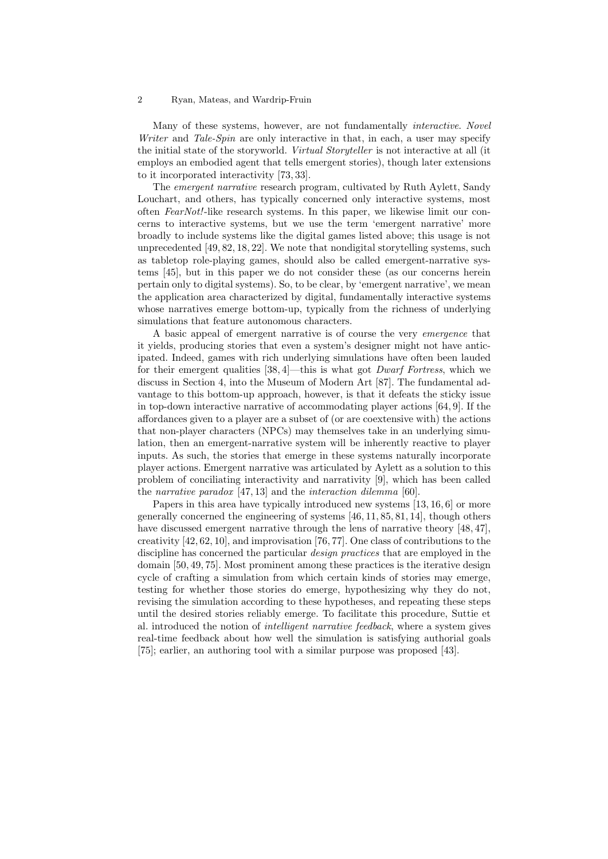Many of these systems, however, are not fundamentally interactive. Novel Writer and Tale-Spin are only interactive in that, in each, a user may specify the initial state of the storyworld. Virtual Storyteller is not interactive at all (it employs an embodied agent that tells emergent stories), though later extensions to it incorporated interactivity [73, 33].

The emergent narrative research program, cultivated by Ruth Aylett, Sandy Louchart, and others, has typically concerned only interactive systems, most often FearNot!-like research systems. In this paper, we likewise limit our concerns to interactive systems, but we use the term 'emergent narrative' more broadly to include systems like the digital games listed above; this usage is not unprecedented [49, 82, 18, 22]. We note that nondigital storytelling systems, such as tabletop role-playing games, should also be called emergent-narrative systems [45], but in this paper we do not consider these (as our concerns herein pertain only to digital systems). So, to be clear, by 'emergent narrative', we mean the application area characterized by digital, fundamentally interactive systems whose narratives emerge bottom-up, typically from the richness of underlying simulations that feature autonomous characters.

A basic appeal of emergent narrative is of course the very emergence that it yields, producing stories that even a system's designer might not have anticipated. Indeed, games with rich underlying simulations have often been lauded for their emergent qualities [38, 4]—this is what got Dwarf Fortress, which we discuss in Section 4, into the Museum of Modern Art [87]. The fundamental advantage to this bottom-up approach, however, is that it defeats the sticky issue in top-down interactive narrative of accommodating player actions [64, 9]. If the affordances given to a player are a subset of (or are coextensive with) the actions that non-player characters (NPCs) may themselves take in an underlying simulation, then an emergent-narrative system will be inherently reactive to player inputs. As such, the stories that emerge in these systems naturally incorporate player actions. Emergent narrative was articulated by Aylett as a solution to this problem of conciliating interactivity and narrativity [9], which has been called the narrative paradox [47, 13] and the interaction dilemma [60].

Papers in this area have typically introduced new systems [13, 16, 6] or more generally concerned the engineering of systems [46, 11, 85, 81, 14], though others have discussed emergent narrative through the lens of narrative theory [48, 47], creativity [42, 62, 10], and improvisation [76, 77]. One class of contributions to the discipline has concerned the particular *design practices* that are employed in the domain [50, 49, 75]. Most prominent among these practices is the iterative design cycle of crafting a simulation from which certain kinds of stories may emerge, testing for whether those stories do emerge, hypothesizing why they do not, revising the simulation according to these hypotheses, and repeating these steps until the desired stories reliably emerge. To facilitate this procedure, Suttie et al. introduced the notion of intelligent narrative feedback, where a system gives real-time feedback about how well the simulation is satisfying authorial goals [75]; earlier, an authoring tool with a similar purpose was proposed [43].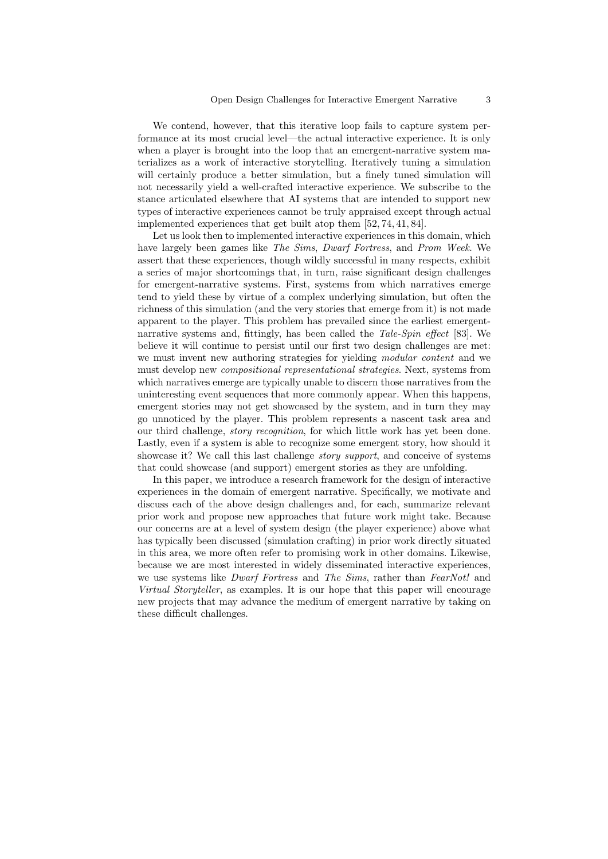We contend, however, that this iterative loop fails to capture system performance at its most crucial level—the actual interactive experience. It is only when a player is brought into the loop that an emergent-narrative system materializes as a work of interactive storytelling. Iteratively tuning a simulation will certainly produce a better simulation, but a finely tuned simulation will not necessarily yield a well-crafted interactive experience. We subscribe to the stance articulated elsewhere that AI systems that are intended to support new types of interactive experiences cannot be truly appraised except through actual implemented experiences that get built atop them [52, 74, 41, 84].

Let us look then to implemented interactive experiences in this domain, which have largely been games like The Sims, Dwarf Fortress, and Prom Week. We assert that these experiences, though wildly successful in many respects, exhibit a series of major shortcomings that, in turn, raise significant design challenges for emergent-narrative systems. First, systems from which narratives emerge tend to yield these by virtue of a complex underlying simulation, but often the richness of this simulation (and the very stories that emerge from it) is not made apparent to the player. This problem has prevailed since the earliest emergentnarrative systems and, fittingly, has been called the Tale-Spin effect [83]. We believe it will continue to persist until our first two design challenges are met: we must invent new authoring strategies for yielding *modular content* and we must develop new compositional representational strategies. Next, systems from which narratives emerge are typically unable to discern those narratives from the uninteresting event sequences that more commonly appear. When this happens, emergent stories may not get showcased by the system, and in turn they may go unnoticed by the player. This problem represents a nascent task area and our third challenge, *story recognition*, for which little work has yet been done. Lastly, even if a system is able to recognize some emergent story, how should it showcase it? We call this last challenge *story support*, and conceive of systems that could showcase (and support) emergent stories as they are unfolding.

In this paper, we introduce a research framework for the design of interactive experiences in the domain of emergent narrative. Specifically, we motivate and discuss each of the above design challenges and, for each, summarize relevant prior work and propose new approaches that future work might take. Because our concerns are at a level of system design (the player experience) above what has typically been discussed (simulation crafting) in prior work directly situated in this area, we more often refer to promising work in other domains. Likewise, because we are most interested in widely disseminated interactive experiences, we use systems like *Dwarf Fortress* and *The Sims*, rather than *FearNot!* and Virtual Storyteller, as examples. It is our hope that this paper will encourage new projects that may advance the medium of emergent narrative by taking on these difficult challenges.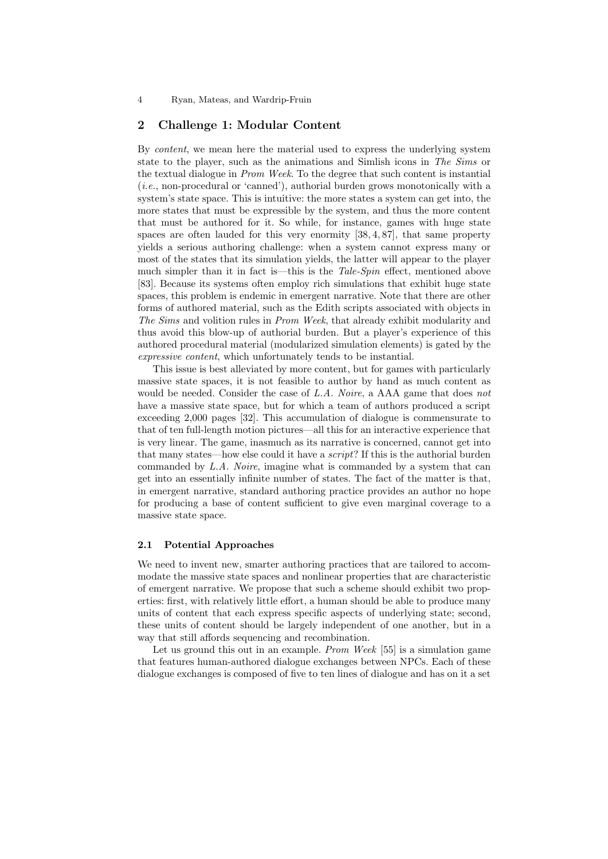# 2 Challenge 1: Modular Content

By content, we mean here the material used to express the underlying system state to the player, such as the animations and Simlish icons in The Sims or the textual dialogue in Prom Week. To the degree that such content is instantial  $(i.e.,$  non-procedural or 'canned'), authorial burden grows monotonically with a system's state space. This is intuitive: the more states a system can get into, the more states that must be expressible by the system, and thus the more content that must be authored for it. So while, for instance, games with huge state spaces are often lauded for this very enormity [38, 4, 87], that same property yields a serious authoring challenge: when a system cannot express many or most of the states that its simulation yields, the latter will appear to the player much simpler than it in fact is—this is the Tale-Spin effect, mentioned above [83]. Because its systems often employ rich simulations that exhibit huge state spaces, this problem is endemic in emergent narrative. Note that there are other forms of authored material, such as the Edith scripts associated with objects in The Sims and volition rules in Prom Week, that already exhibit modularity and thus avoid this blow-up of authorial burden. But a player's experience of this authored procedural material (modularized simulation elements) is gated by the expressive content, which unfortunately tends to be instantial.

This issue is best alleviated by more content, but for games with particularly massive state spaces, it is not feasible to author by hand as much content as would be needed. Consider the case of L.A. Noire, a AAA game that does not have a massive state space, but for which a team of authors produced a script exceeding 2,000 pages [32]. This accumulation of dialogue is commensurate to that of ten full-length motion pictures—all this for an interactive experience that is very linear. The game, inasmuch as its narrative is concerned, cannot get into that many states—how else could it have a script? If this is the authorial burden commanded by  $L.A.$  Noire, imagine what is commanded by a system that can get into an essentially infinite number of states. The fact of the matter is that, in emergent narrative, standard authoring practice provides an author no hope for producing a base of content sufficient to give even marginal coverage to a massive state space.

## 2.1 Potential Approaches

We need to invent new, smarter authoring practices that are tailored to accommodate the massive state spaces and nonlinear properties that are characteristic of emergent narrative. We propose that such a scheme should exhibit two properties: first, with relatively little effort, a human should be able to produce many units of content that each express specific aspects of underlying state; second, these units of content should be largely independent of one another, but in a way that still affords sequencing and recombination.

Let us ground this out in an example. Prom Week [55] is a simulation game that features human-authored dialogue exchanges between NPCs. Each of these dialogue exchanges is composed of five to ten lines of dialogue and has on it a set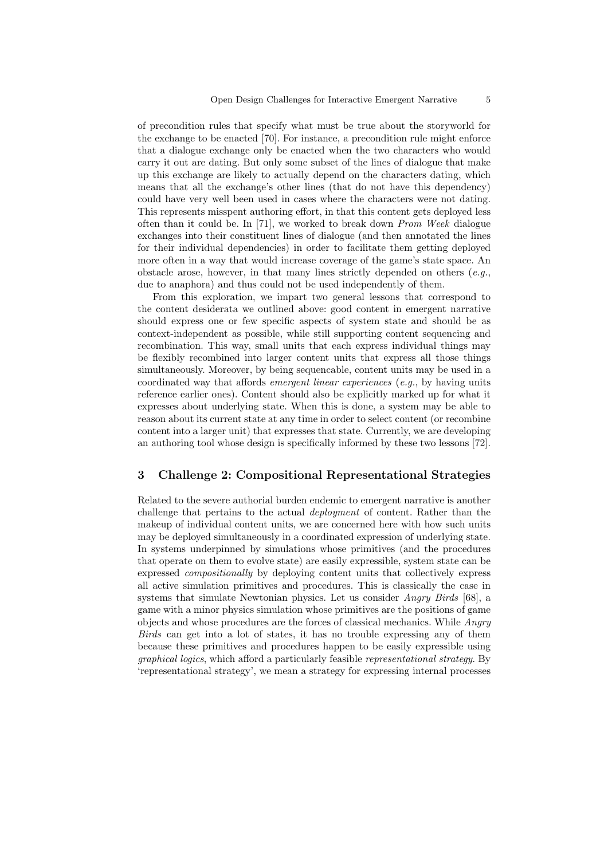of precondition rules that specify what must be true about the storyworld for the exchange to be enacted [70]. For instance, a precondition rule might enforce that a dialogue exchange only be enacted when the two characters who would carry it out are dating. But only some subset of the lines of dialogue that make up this exchange are likely to actually depend on the characters dating, which means that all the exchange's other lines (that do not have this dependency) could have very well been used in cases where the characters were not dating. This represents misspent authoring effort, in that this content gets deployed less often than it could be. In [71], we worked to break down Prom Week dialogue exchanges into their constituent lines of dialogue (and then annotated the lines for their individual dependencies) in order to facilitate them getting deployed more often in a way that would increase coverage of the game's state space. An obstacle arose, however, in that many lines strictly depended on others  $(e.g.,)$ due to anaphora) and thus could not be used independently of them.

From this exploration, we impart two general lessons that correspond to the content desiderata we outlined above: good content in emergent narrative should express one or few specific aspects of system state and should be as context-independent as possible, while still supporting content sequencing and recombination. This way, small units that each express individual things may be flexibly recombined into larger content units that express all those things simultaneously. Moreover, by being sequencable, content units may be used in a coordinated way that affords emergent linear experiences (e.g., by having units reference earlier ones). Content should also be explicitly marked up for what it expresses about underlying state. When this is done, a system may be able to reason about its current state at any time in order to select content (or recombine content into a larger unit) that expresses that state. Currently, we are developing an authoring tool whose design is specifically informed by these two lessons [72].

## 3 Challenge 2: Compositional Representational Strategies

Related to the severe authorial burden endemic to emergent narrative is another challenge that pertains to the actual deployment of content. Rather than the makeup of individual content units, we are concerned here with how such units may be deployed simultaneously in a coordinated expression of underlying state. In systems underpinned by simulations whose primitives (and the procedures that operate on them to evolve state) are easily expressible, system state can be expressed compositionally by deploying content units that collectively express all active simulation primitives and procedures. This is classically the case in systems that simulate Newtonian physics. Let us consider *Angry Birds* [68], a game with a minor physics simulation whose primitives are the positions of game objects and whose procedures are the forces of classical mechanics. While Angry Birds can get into a lot of states, it has no trouble expressing any of them because these primitives and procedures happen to be easily expressible using graphical logics, which afford a particularly feasible representational strategy. By 'representational strategy', we mean a strategy for expressing internal processes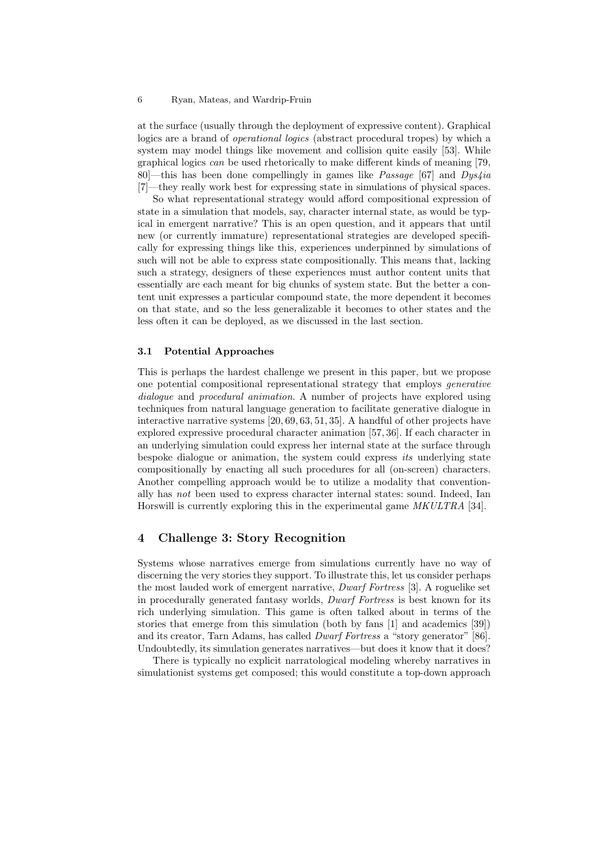at the surface (usually through the deployment of expressive content). Graphical logics are a brand of operational logics (abstract procedural tropes) by which a system may model things like movement and collision quite easily [53]. While graphical logics can be used rhetorically to make different kinds of meaning [79, 80<sup>—</sup>this has been done compellingly in games like *Passage* [67] and  $Dys4ia$ [7]—they really work best for expressing state in simulations of physical spaces.

So what representational strategy would afford compositional expression of state in a simulation that models, say, character internal state, as would be typical in emergent narrative? This is an open question, and it appears that until new (or currently immature) representational strategies are developed specifically for expressing things like this, experiences underpinned by simulations of such will not be able to express state compositionally. This means that, lacking such a strategy, designers of these experiences must author content units that essentially are each meant for big chunks of system state. But the better a content unit expresses a particular compound state, the more dependent it becomes on that state, and so the less generalizable it becomes to other states and the less often it can be deployed, as we discussed in the last section.

### 3.1 Potential Approaches

This is perhaps the hardest challenge we present in this paper, but we propose one potential compositional representational strategy that employs generative dialogue and procedural animation. A number of projects have explored using techniques from natural language generation to facilitate generative dialogue in interactive narrative systems [20, 69, 63, 51, 35]. A handful of other projects have explored expressive procedural character animation [57, 36]. If each character in an underlying simulation could express her internal state at the surface through bespoke dialogue or animation, the system could express its underlying state compositionally by enacting all such procedures for all (on-screen) characters. Another compelling approach would be to utilize a modality that conventionally has not been used to express character internal states: sound. Indeed, Ian Horswill is currently exploring this in the experimental game MKULTRA [34].

# 4 Challenge 3: Story Recognition

Systems whose narratives emerge from simulations currently have no way of discerning the very stories they support. To illustrate this, let us consider perhaps the most lauded work of emergent narrative, Dwarf Fortress [3]. A roguelike set in procedurally generated fantasy worlds, Dwarf Fortress is best known for its rich underlying simulation. This game is often talked about in terms of the stories that emerge from this simulation (both by fans [1] and academics [39]) and its creator, Tarn Adams, has called Dwarf Fortress a "story generator" [86]. Undoubtedly, its simulation generates narratives—but does it know that it does?

There is typically no explicit narratological modeling whereby narratives in simulationist systems get composed; this would constitute a top-down approach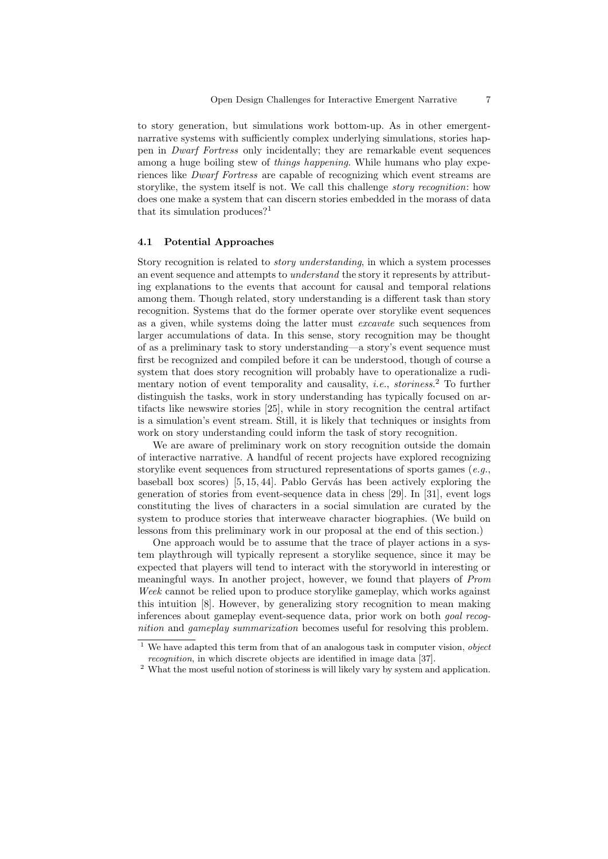to story generation, but simulations work bottom-up. As in other emergentnarrative systems with sufficiently complex underlying simulations, stories happen in Dwarf Fortress only incidentally; they are remarkable event sequences among a huge boiling stew of *things happening*. While humans who play experiences like Dwarf Fortress are capable of recognizing which event streams are storylike, the system itself is not. We call this challenge *story recognition*: how does one make a system that can discern stories embedded in the morass of data that its simulation produces?<sup>1</sup>

#### 4.1 Potential Approaches

Story recognition is related to story understanding, in which a system processes an event sequence and attempts to understand the story it represents by attributing explanations to the events that account for causal and temporal relations among them. Though related, story understanding is a different task than story recognition. Systems that do the former operate over storylike event sequences as a given, while systems doing the latter must excavate such sequences from larger accumulations of data. In this sense, story recognition may be thought of as a preliminary task to story understanding—a story's event sequence must first be recognized and compiled before it can be understood, though of course a system that does story recognition will probably have to operationalize a rudimentary notion of event temporality and causality, *i.e.*, *storiness*.<sup>2</sup> To further distinguish the tasks, work in story understanding has typically focused on artifacts like newswire stories [25], while in story recognition the central artifact is a simulation's event stream. Still, it is likely that techniques or insights from work on story understanding could inform the task of story recognition.

We are aware of preliminary work on story recognition outside the domain of interactive narrative. A handful of recent projects have explored recognizing storylike event sequences from structured representations of sports games (e.g., baseball box scores)  $[5, 15, 44]$ . Pablo Gervás has been actively exploring the generation of stories from event-sequence data in chess [29]. In [31], event logs constituting the lives of characters in a social simulation are curated by the system to produce stories that interweave character biographies. (We build on lessons from this preliminary work in our proposal at the end of this section.)

One approach would be to assume that the trace of player actions in a system playthrough will typically represent a storylike sequence, since it may be expected that players will tend to interact with the storyworld in interesting or meaningful ways. In another project, however, we found that players of Prom Week cannot be relied upon to produce storylike gameplay, which works against this intuition [8]. However, by generalizing story recognition to mean making inferences about gameplay event-sequence data, prior work on both goal recognition and gameplay summarization becomes useful for resolving this problem.

 $\overline{1}$  We have adapted this term from that of an analogous task in computer vision, *object* recognition, in which discrete objects are identified in image data [37].

<sup>2</sup> What the most useful notion of storiness is will likely vary by system and application.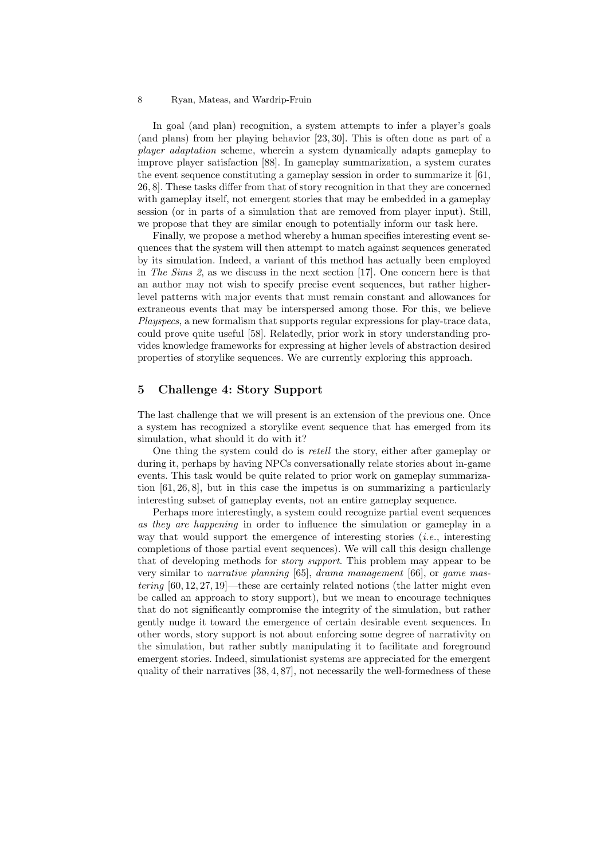In goal (and plan) recognition, a system attempts to infer a player's goals (and plans) from her playing behavior [23, 30]. This is often done as part of a player adaptation scheme, wherein a system dynamically adapts gameplay to improve player satisfaction [88]. In gameplay summarization, a system curates the event sequence constituting a gameplay session in order to summarize it [61, 26, 8]. These tasks differ from that of story recognition in that they are concerned with gameplay itself, not emergent stories that may be embedded in a gameplay session (or in parts of a simulation that are removed from player input). Still, we propose that they are similar enough to potentially inform our task here.

Finally, we propose a method whereby a human specifies interesting event sequences that the system will then attempt to match against sequences generated by its simulation. Indeed, a variant of this method has actually been employed in The Sims 2, as we discuss in the next section [17]. One concern here is that an author may not wish to specify precise event sequences, but rather higherlevel patterns with major events that must remain constant and allowances for extraneous events that may be interspersed among those. For this, we believe Playspecs, a new formalism that supports regular expressions for play-trace data, could prove quite useful [58]. Relatedly, prior work in story understanding provides knowledge frameworks for expressing at higher levels of abstraction desired properties of storylike sequences. We are currently exploring this approach.

# 5 Challenge 4: Story Support

The last challenge that we will present is an extension of the previous one. Once a system has recognized a storylike event sequence that has emerged from its simulation, what should it do with it?

One thing the system could do is retell the story, either after gameplay or during it, perhaps by having NPCs conversationally relate stories about in-game events. This task would be quite related to prior work on gameplay summarization [61, 26, 8], but in this case the impetus is on summarizing a particularly interesting subset of gameplay events, not an entire gameplay sequence.

Perhaps more interestingly, a system could recognize partial event sequences as they are happening in order to influence the simulation or gameplay in a way that would support the emergence of interesting stories (i.e., interesting completions of those partial event sequences). We will call this design challenge that of developing methods for story support. This problem may appear to be very similar to narrative planning [65], drama management [66], or game mastering [60, 12, 27, 19]—these are certainly related notions (the latter might even be called an approach to story support), but we mean to encourage techniques that do not significantly compromise the integrity of the simulation, but rather gently nudge it toward the emergence of certain desirable event sequences. In other words, story support is not about enforcing some degree of narrativity on the simulation, but rather subtly manipulating it to facilitate and foreground emergent stories. Indeed, simulationist systems are appreciated for the emergent quality of their narratives [38, 4, 87], not necessarily the well-formedness of these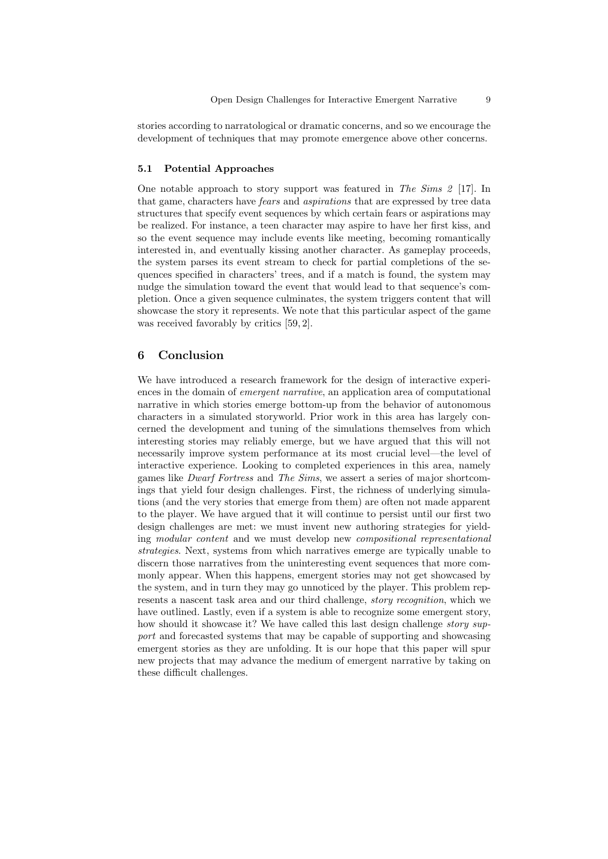stories according to narratological or dramatic concerns, and so we encourage the development of techniques that may promote emergence above other concerns.

## 5.1 Potential Approaches

One notable approach to story support was featured in The Sims 2 [17]. In that game, characters have fears and aspirations that are expressed by tree data structures that specify event sequences by which certain fears or aspirations may be realized. For instance, a teen character may aspire to have her first kiss, and so the event sequence may include events like meeting, becoming romantically interested in, and eventually kissing another character. As gameplay proceeds, the system parses its event stream to check for partial completions of the sequences specified in characters' trees, and if a match is found, the system may nudge the simulation toward the event that would lead to that sequence's completion. Once a given sequence culminates, the system triggers content that will showcase the story it represents. We note that this particular aspect of the game was received favorably by critics [59, 2].

# 6 Conclusion

We have introduced a research framework for the design of interactive experiences in the domain of emergent narrative, an application area of computational narrative in which stories emerge bottom-up from the behavior of autonomous characters in a simulated storyworld. Prior work in this area has largely concerned the development and tuning of the simulations themselves from which interesting stories may reliably emerge, but we have argued that this will not necessarily improve system performance at its most crucial level—the level of interactive experience. Looking to completed experiences in this area, namely games like Dwarf Fortress and The Sims, we assert a series of major shortcomings that yield four design challenges. First, the richness of underlying simulations (and the very stories that emerge from them) are often not made apparent to the player. We have argued that it will continue to persist until our first two design challenges are met: we must invent new authoring strategies for yielding modular content and we must develop new compositional representational strategies. Next, systems from which narratives emerge are typically unable to discern those narratives from the uninteresting event sequences that more commonly appear. When this happens, emergent stories may not get showcased by the system, and in turn they may go unnoticed by the player. This problem represents a nascent task area and our third challenge, story recognition, which we have outlined. Lastly, even if a system is able to recognize some emergent story, how should it showcase it? We have called this last design challenge *story sup*port and forecasted systems that may be capable of supporting and showcasing emergent stories as they are unfolding. It is our hope that this paper will spur new projects that may advance the medium of emergent narrative by taking on these difficult challenges.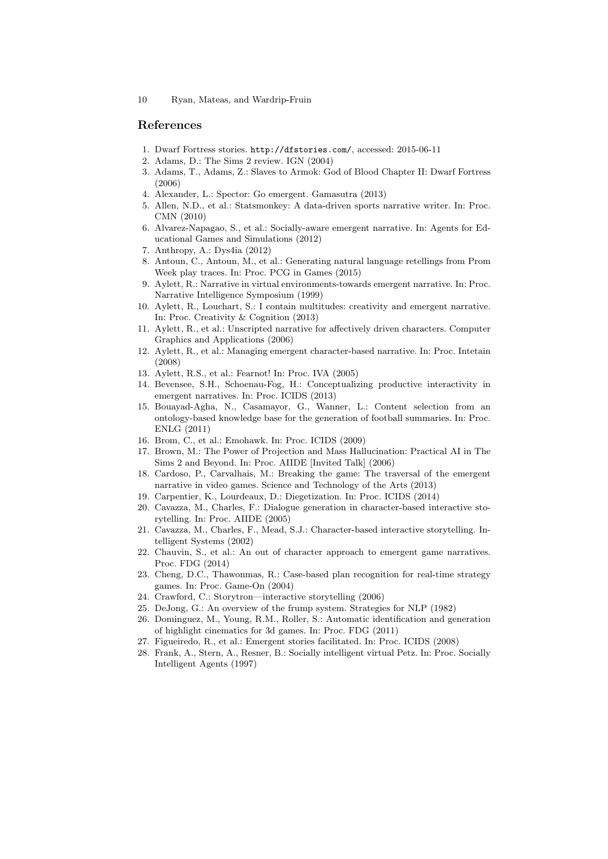## References

- 1. Dwarf Fortress stories. http://dfstories.com/, accessed: 2015-06-11
- 2. Adams, D.: The Sims 2 review. IGN (2004)
- 3. Adams, T., Adams, Z.: Slaves to Armok: God of Blood Chapter II: Dwarf Fortress (2006)
- 4. Alexander, L.: Spector: Go emergent. Gamasutra (2013)
- 5. Allen, N.D., et al.: Statsmonkey: A data-driven sports narrative writer. In: Proc. CMN (2010)
- 6. Alvarez-Napagao, S., et al.: Socially-aware emergent narrative. In: Agents for Educational Games and Simulations (2012)
- 7. Anthropy, A.: Dys4ia (2012)
- 8. Antoun, C., Antoun, M., et al.: Generating natural language retellings from Prom Week play traces. In: Proc. PCG in Games (2015)
- 9. Aylett, R.: Narrative in virtual environments-towards emergent narrative. In: Proc. Narrative Intelligence Symposium (1999)
- 10. Aylett, R., Louchart, S.: I contain multitudes: creativity and emergent narrative. In: Proc. Creativity & Cognition (2013)
- 11. Aylett, R., et al.: Unscripted narrative for affectively driven characters. Computer Graphics and Applications (2006)
- 12. Aylett, R., et al.: Managing emergent character-based narrative. In: Proc. Intetain (2008)
- 13. Aylett, R.S., et al.: Fearnot! In: Proc. IVA (2005)
- 14. Bevensee, S.H., Schoenau-Fog, H.: Conceptualizing productive interactivity in emergent narratives. In: Proc. ICIDS (2013)
- 15. Bouayad-Agha, N., Casamayor, G., Wanner, L.: Content selection from an ontology-based knowledge base for the generation of football summaries. In: Proc. ENLG (2011)
- 16. Brom, C., et al.: Emohawk. In: Proc. ICIDS (2009)
- 17. Brown, M.: The Power of Projection and Mass Hallucination: Practical AI in The Sims 2 and Beyond. In: Proc. AIIDE [Invited Talk] (2006)
- 18. Cardoso, P., Carvalhais, M.: Breaking the game: The traversal of the emergent narrative in video games. Science and Technology of the Arts (2013)
- 19. Carpentier, K., Lourdeaux, D.: Diegetization. In: Proc. ICIDS (2014)
- 20. Cavazza, M., Charles, F.: Dialogue generation in character-based interactive storytelling. In: Proc. AIIDE (2005)
- 21. Cavazza, M., Charles, F., Mead, S.J.: Character-based interactive storytelling. Intelligent Systems (2002)
- 22. Chauvin, S., et al.: An out of character approach to emergent game narratives. Proc. FDG (2014)
- 23. Cheng, D.C., Thawonmas, R.: Case-based plan recognition for real-time strategy games. In: Proc. Game-On (2004)
- 24. Crawford, C.: Storytron—interactive storytelling (2006)
- 25. DeJong, G.: An overview of the frump system. Strategies for NLP (1982)
- 26. Dominguez, M., Young, R.M., Roller, S.: Automatic identification and generation of highlight cinematics for 3d games. In: Proc. FDG (2011)
- 27. Figueiredo, R., et al.: Emergent stories facilitated. In: Proc. ICIDS (2008)
- 28. Frank, A., Stern, A., Resner, B.: Socially intelligent virtual Petz. In: Proc. Socially Intelligent Agents (1997)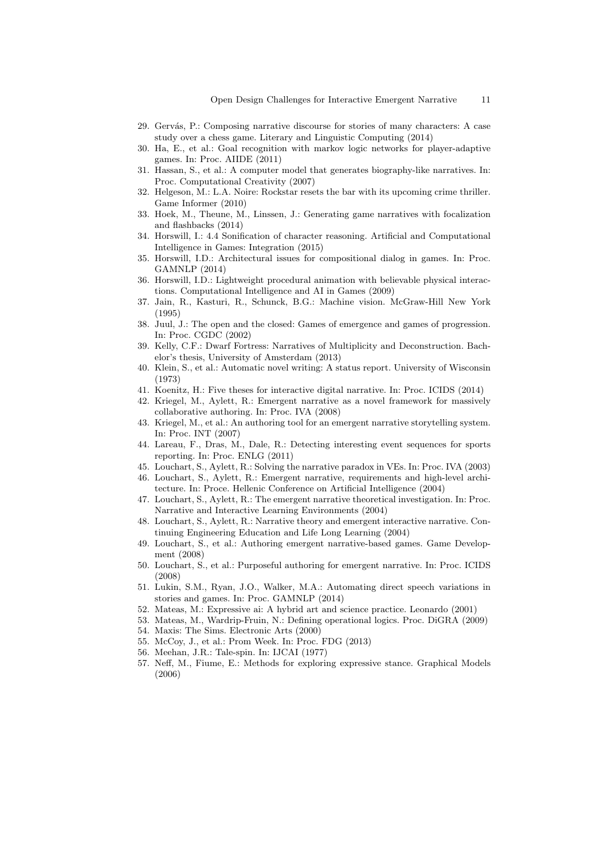- 29. Gervás, P.: Composing narrative discourse for stories of many characters: A case study over a chess game. Literary and Linguistic Computing (2014)
- 30. Ha, E., et al.: Goal recognition with markov logic networks for player-adaptive games. In: Proc. AIIDE (2011)
- 31. Hassan, S., et al.: A computer model that generates biography-like narratives. In: Proc. Computational Creativity (2007)
- 32. Helgeson, M.: L.A. Noire: Rockstar resets the bar with its upcoming crime thriller. Game Informer (2010)
- 33. Hoek, M., Theune, M., Linssen, J.: Generating game narratives with focalization and flashbacks (2014)
- 34. Horswill, I.: 4.4 Sonification of character reasoning. Artificial and Computational Intelligence in Games: Integration (2015)
- 35. Horswill, I.D.: Architectural issues for compositional dialog in games. In: Proc. GAMNLP (2014)
- 36. Horswill, I.D.: Lightweight procedural animation with believable physical interactions. Computational Intelligence and AI in Games (2009)
- 37. Jain, R., Kasturi, R., Schunck, B.G.: Machine vision. McGraw-Hill New York (1995)
- 38. Juul, J.: The open and the closed: Games of emergence and games of progression. In: Proc. CGDC (2002)
- 39. Kelly, C.F.: Dwarf Fortress: Narratives of Multiplicity and Deconstruction. Bachelor's thesis, University of Amsterdam (2013)
- 40. Klein, S., et al.: Automatic novel writing: A status report. University of Wisconsin (1973)
- 41. Koenitz, H.: Five theses for interactive digital narrative. In: Proc. ICIDS (2014)
- 42. Kriegel, M., Aylett, R.: Emergent narrative as a novel framework for massively collaborative authoring. In: Proc. IVA (2008)
- 43. Kriegel, M., et al.: An authoring tool for an emergent narrative storytelling system. In: Proc. INT (2007)
- 44. Lareau, F., Dras, M., Dale, R.: Detecting interesting event sequences for sports reporting. In: Proc. ENLG (2011)
- 45. Louchart, S., Aylett, R.: Solving the narrative paradox in VEs. In: Proc. IVA (2003)
- 46. Louchart, S., Aylett, R.: Emergent narrative, requirements and high-level architecture. In: Proce. Hellenic Conference on Artificial Intelligence (2004)
- 47. Louchart, S., Aylett, R.: The emergent narrative theoretical investigation. In: Proc. Narrative and Interactive Learning Environments (2004)
- 48. Louchart, S., Aylett, R.: Narrative theory and emergent interactive narrative. Continuing Engineering Education and Life Long Learning (2004)
- 49. Louchart, S., et al.: Authoring emergent narrative-based games. Game Development (2008)
- 50. Louchart, S., et al.: Purposeful authoring for emergent narrative. In: Proc. ICIDS (2008)
- 51. Lukin, S.M., Ryan, J.O., Walker, M.A.: Automating direct speech variations in stories and games. In: Proc. GAMNLP (2014)
- 52. Mateas, M.: Expressive ai: A hybrid art and science practice. Leonardo (2001)
- 53. Mateas, M., Wardrip-Fruin, N.: Defining operational logics. Proc. DiGRA (2009)
- 54. Maxis: The Sims. Electronic Arts (2000)
- 55. McCoy, J., et al.: Prom Week. In: Proc. FDG (2013)
- 56. Meehan, J.R.: Tale-spin. In: IJCAI (1977)
- 57. Neff, M., Fiume, E.: Methods for exploring expressive stance. Graphical Models (2006)